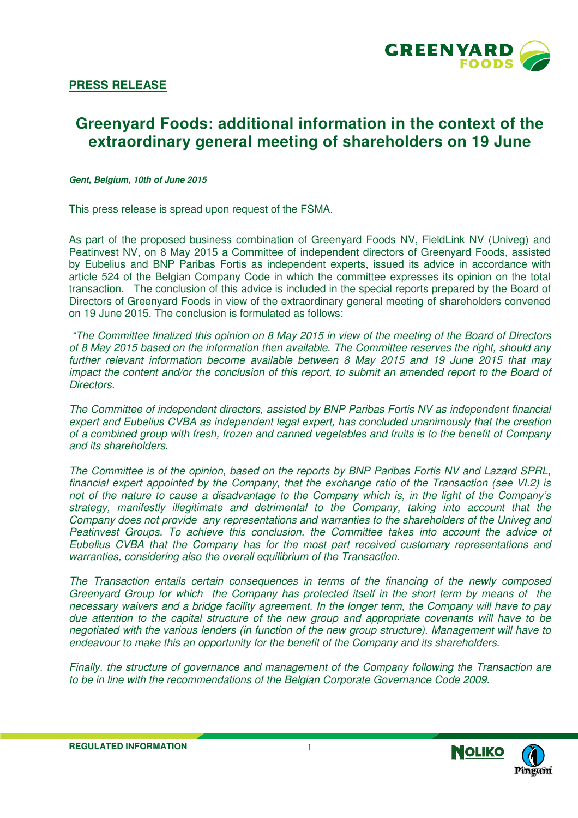

### **PRESS RELEASE**

# **Greenyard Foods: additional information in the context of the extraordinary general meeting of shareholders on 19 June**

**Gent, Belgium, 10th of June 2015** 

This press release is spread upon request of the FSMA.

As part of the proposed business combination of Greenyard Foods NV, FieldLink NV (Univeg) and Peatinvest NV, on 8 May 2015 a Committee of independent directors of Greenyard Foods, assisted by Eubelius and BNP Paribas Fortis as independent experts, issued its advice in accordance with article 524 of the Belgian Company Code in which the committee expresses its opinion on the total transaction. The conclusion of this advice is included in the special reports prepared by the Board of Directors of Greenyard Foods in view of the extraordinary general meeting of shareholders convened on 19 June 2015. The conclusion is formulated as follows:

 "The Committee finalized this opinion on 8 May 2015 in view of the meeting of the Board of Directors of 8 May 2015 based on the information then available. The Committee reserves the right, should any further relevant information become available between 8 May 2015 and 19 June 2015 that may impact the content and/or the conclusion of this report, to submit an amended report to the Board of Directors.

The Committee of independent directors, assisted by BNP Paribas Fortis NV as independent financial expert and Eubelius CVBA as independent legal expert, has concluded unanimously that the creation of a combined group with fresh, frozen and canned vegetables and fruits is to the benefit of Company and its shareholders.

The Committee is of the opinion, based on the reports by BNP Paribas Fortis NV and Lazard SPRL, financial expert appointed by the Company, that the exchange ratio of the Transaction (see VI.2) is not of the nature to cause a disadvantage to the Company which is, in the light of the Company's strategy, manifestly illegitimate and detrimental to the Company, taking into account that the Company does not provide any representations and warranties to the shareholders of the Univeg and Peatinvest Groups. To achieve this conclusion, the Committee takes into account the advice of Eubelius CVBA that the Company has for the most part received customary representations and warranties, considering also the overall equilibrium of the Transaction.

The Transaction entails certain consequences in terms of the financing of the newly composed Greenyard Group for which the Company has protected itself in the short term by means of the necessary waivers and a bridge facility agreement. In the longer term, the Company will have to pay due attention to the capital structure of the new group and appropriate covenants will have to be negotiated with the various lenders (in function of the new group structure). Management will have to endeavour to make this an opportunity for the benefit of the Company and its shareholders.

Finally, the structure of governance and management of the Company following the Transaction are to be in line with the recommendations of the Belgian Corporate Governance Code 2009.

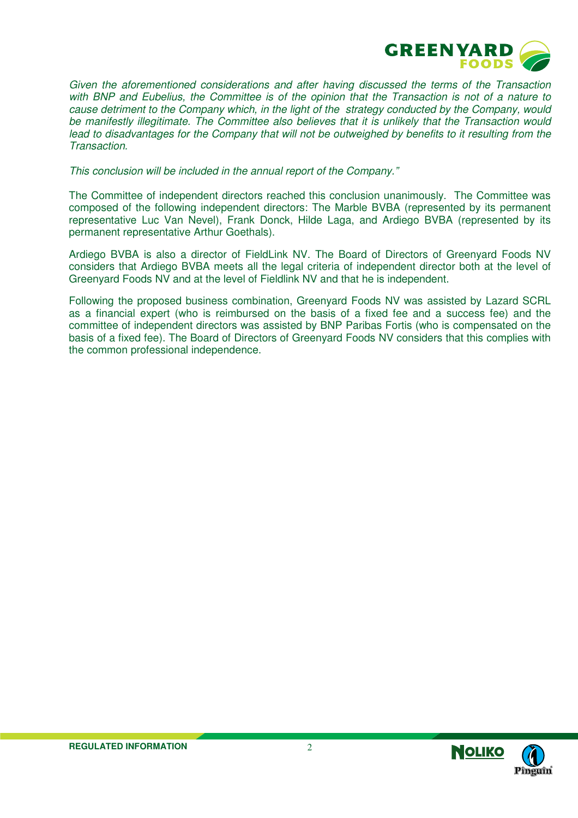

Given the aforementioned considerations and after having discussed the terms of the Transaction with BNP and Eubelius, the Committee is of the opinion that the Transaction is not of a nature to cause detriment to the Company which, in the light of the strategy conducted by the Company, would be manifestly illegitimate. The Committee also believes that it is unlikely that the Transaction would lead to disadvantages for the Company that will not be outweighed by benefits to it resulting from the **Transaction** 

This conclusion will be included in the annual report of the Company."

The Committee of independent directors reached this conclusion unanimously. The Committee was composed of the following independent directors: The Marble BVBA (represented by its permanent representative Luc Van Nevel), Frank Donck, Hilde Laga, and Ardiego BVBA (represented by its permanent representative Arthur Goethals).

Ardiego BVBA is also a director of FieldLink NV. The Board of Directors of Greenyard Foods NV considers that Ardiego BVBA meets all the legal criteria of independent director both at the level of Greenyard Foods NV and at the level of Fieldlink NV and that he is independent.

Following the proposed business combination, Greenyard Foods NV was assisted by Lazard SCRL as a financial expert (who is reimbursed on the basis of a fixed fee and a success fee) and the committee of independent directors was assisted by BNP Paribas Fortis (who is compensated on the basis of a fixed fee). The Board of Directors of Greenyard Foods NV considers that this complies with the common professional independence.